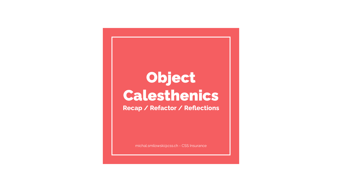# **Object Calesthenics**

**Recap / Refactor / Reflections**

[michal.smilowski@css.ch](mailto:michal.smilowski@css.ch) - CSS Insurance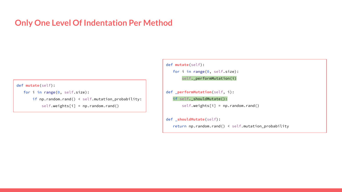### **Only One Level Of Indentation Per Method**

```
def mutate(self):
    for i in range(0, self.size):
       if np.random.rand() < self.mutation probability:
            self.weights[i] = np.random.rand()
```

```
def mutate(self):
```

```
 for i in range(0, self.size):
```

```
 self._performMutation(i)
```

```
def _performMutation(self, i):
    if self._shouldMutate():
       self.weights[i] = np.random.randn()
```

```
def _shouldMutate(self):
```
return np.random.rand() < self.mutation\_probability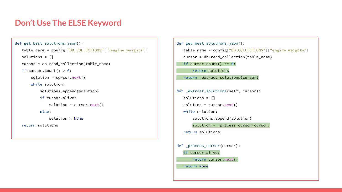### **Don't Use The ELSE Keyword**

```
def get_best_solutions_json():
   table name = config["DB COLLECTIONS"]["engine weights"]
    solutions = []
    cursor = db.read_collection(table_name)
   if cursor.count() > 0:
       solution = cursor.next() while solution:
            solutions.append(solution)
            if cursor.alive:
                solution = cursor.next()
            else:
               solution = None return solutions
```

```
def get_best_solutions_json():
   table name = config["DB_COLLECTIONS"]["engine_weights"]
    cursor = db.read_collection(table_name)
   if cursor.count() == 0:
        return solutions
    return _extract_solutions(cursor)
def extract solutions(self, cursor):
    solutions = []
    solution = cursor.next()
    while solution:
        solutions.append(solution)
       solution = process cursor(cursor)
    return solutions
```

```
def _process_cursor(cursor):
```
if cursor.alive:

return cursor.next()

return None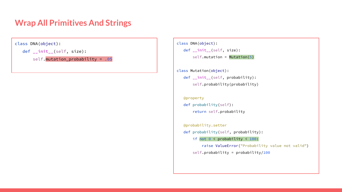#### **Wrap All Primitives And Strings**

class DNA(object):

def \_\_init\_\_(self, size):

self.mutation\_probability = .05

```
class DNA(object):
  def init (self, size):
       self.mutation = Mutation(5)
```

```
class Mutation(object):
   def __init__(self, probability):
        self.probability(probability)
```

```
 @property
 def probability(self):
     return self.probability
```

```
 @probability.setter
 def probability(self, probability):
     if not 0 < probability < 100:
         raise ValueError("Probability value not valid")
     self.probability = probability/100
```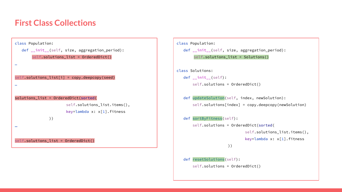#### **First Class Collections**



```
class Population:
  def __init (self, size, aggregation period):
       self.solutions list = Solutions()
```

```
class Solutions:
   def __init__(self):
        self.solutions = OrderedDict()
```

```
 def updateSolution(self, index, newSolution):
     self.solutions[index] = copy.deepcopy(newSolution)
```

```
 def sortByFitness(self):
     self.solutions = OrderedDict(sorted(
                           self.solutions_list.items(),
                           key=lambda x: x[1].fitness
                    ))
```

```
 def resetSolutions(self):
     self.solutions = OrderedDict()
```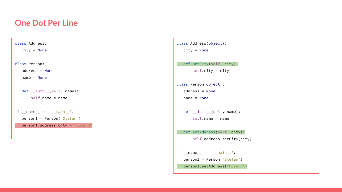#### **One Dot Per Line**

```
class Address:
    city = None
class Person:
    address = None
    name = None
   def init (self, name):
        self.name = name
if __name__ == ' __main__':
    person1 = Person("Stefan")
    person1.address.city = "Luzern"
```

```
class Address(object):
```
city = None

```
 def setCity(self, city):
```

```
 self.city = city
```

```
class Person(object):
    address = None
```

```
 name = None
```

```
 def __init__(self, name):
     self.name = name
```

```
 def setAddress(self, city):
     self.address.setCity(city)
```

```
if name == '_main ':
   person1 = Person("Stefan")
   person1.setAddress("Luzern")
```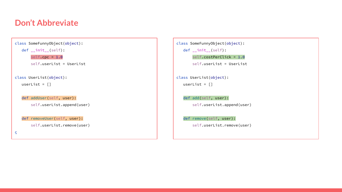#### **Don't Abbreviate**

```
class SomeFunnyObject(object):
   def __init__(self):
       self.cpc = 1.0 self.userList = UserList
class UserList(object):
  userList = []
    def addUser(self, user):
        self.userList.append(user)
    def removeUser(self, user):
        self.userList.remove(user)
```

```
class SomeFunnyObject(object):
    def __init__(self):
        self.costPerClick = 1.0
        self.userList = UserList
```

```
class UserList(object):
  userList = [1]
```

```
 def add(self, user):
     self.userList.append(user)
```

```
 def remove(self, user):
     self.userList.remove(user)
```
ç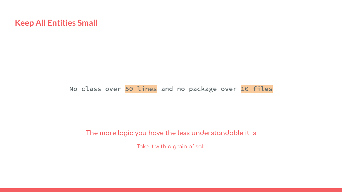### **Keep All Entities Small**

### **No class over 50 lines and no package over 10 files**

#### **The more logic you have the less understandable it is**

Take it with a grain of salt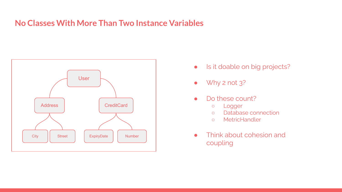### **No Classes With More Than Two Instance Variables**



- Is it doable on big projects?
- Why 2 not 3?
- Do these count?
	- Logger
	- Database connection
	- MetricHandler
- Think about cohesion and coupling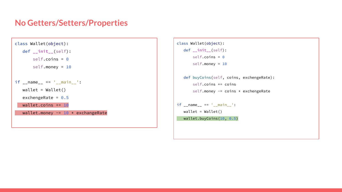#### **No Getters/Setters/Properties**



```
class Wallet(object):
    def __init__(self):
       self.coins = \theta self.money = 10
    def buyCoins(self, coins, exchengeRate):
        self.coins += coins
        self.money -= coins * exchengeRate
if __name__ == '__main__': wallet = Wallet()
   wallet.buyCoins(10, 0.5)
```